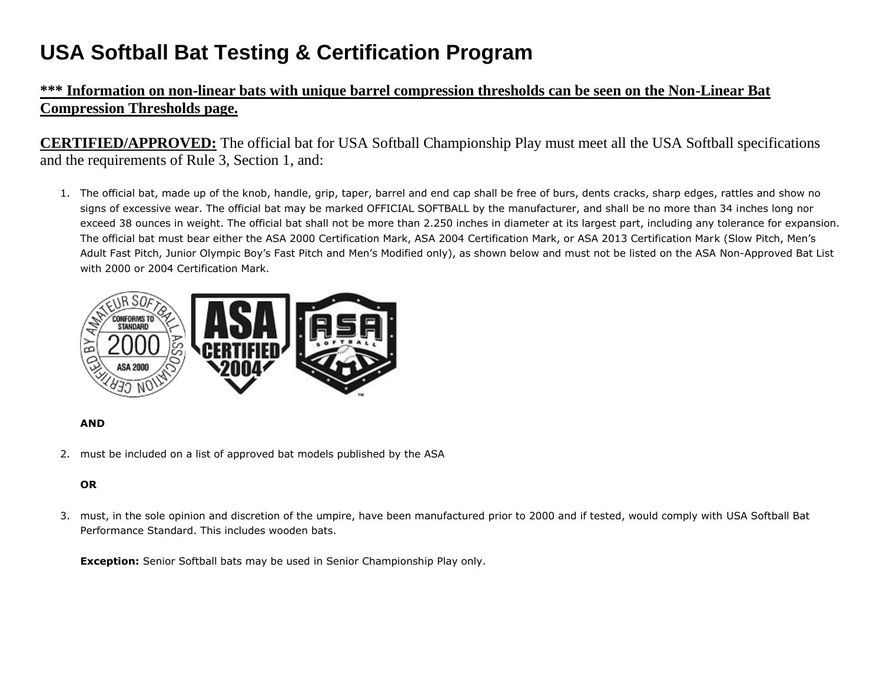# **USA Softball Bat Testing & Certification Program**

## **\*\*\* Information on non-linear bats with unique barrel compression thresholds can be seen on the Non-Linear Bat Compression Thresholds page.**

**CERTIFIED/APPROVED:** The official bat for USA Softball Championship Play must meet all the USA Softball specifications and the requirements of Rule 3, Section 1, and:

1. The official bat, made up of the knob, handle, grip, taper, barrel and end cap shall be free of burs, dents cracks, sharp edges, rattles and show no signs of excessive wear. The official bat may be marked OFFICIAL SOFTBALL by the manufacturer, and shall be no more than 34 inches long nor exceed 38 ounces in weight. The official bat shall not be more than 2.250 inches in diameter at its largest part, including any tolerance for expansion. The official bat must bear either the ASA 2000 Certification Mark, ASA 2004 Certification Mark, or ASA 2013 Certification Mark (Slow Pitch, Men's Adult Fast Pitch, Junior Olympic Boy's Fast Pitch and Men's Modified only), as shown below and must not be listed on the ASA Non-Approved Bat List with 2000 or 2004 Certification Mark.



#### **AND**

2. must be included on a list of approved bat models published by the ASA

### **OR**

3. must, in the sole opinion and discretion of the umpire, have been manufactured prior to 2000 and if tested, would comply with USA Softball Bat Performance Standard. This includes wooden bats.

**Exception:** Senior Softball bats may be used in Senior Championship Play only.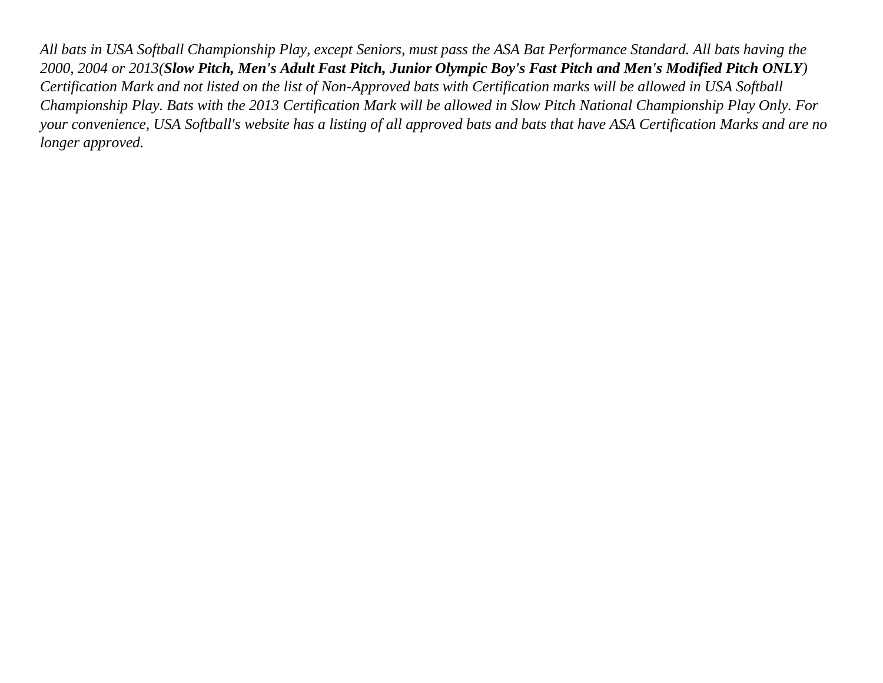*All bats in USA Softball Championship Play, except Seniors, must pass the ASA Bat Performance Standard. All bats having the 2000, 2004 or 2013(Slow Pitch, Men's Adult Fast Pitch, Junior Olympic Boy's Fast Pitch and Men's Modified Pitch ONLY) Certification Mark and not listed on the list of Non-Approved bats with Certification marks will be allowed in USA Softball Championship Play. Bats with the 2013 Certification Mark will be allowed in Slow Pitch National Championship Play Only. For your convenience, USA Softball's website has a listing of all approved bats and bats that have ASA Certification Marks and are no longer approved.*